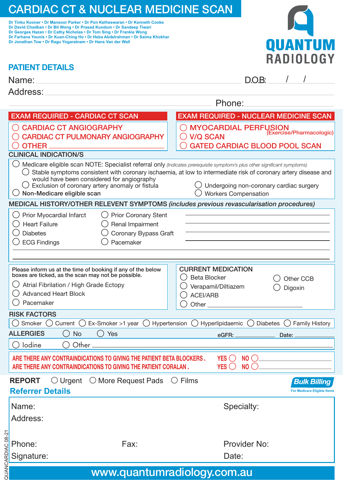# CARDIAC CT & NUCLEAR MEDICINE SCAN

**Dr Tinku Kooner • Dr Mansoor Parker • Dr Pon Ketheswaran • Dr Kenneth Cooke Dr David Chadban • Dr Bit Wong • Dr Prasad Kundum • Dr Sandeep Tiwari Dr Georges Hazan • Dr Cathy Nicholas • Dr Tom Sing • Dr Frankie Wong Dr Farhana Younis • Dr Kuan-Ching Ho • Dr Heba Abdelrahman • Dr Saima Khokhar Dr Jonathan Tow • Dr Ragu Yogaratnam • Dr Hans Van der Wall**



|  | <b>PATIENT DETAILS</b> |
|--|------------------------|
|  |                        |

 $\bigcirc$  ECG Findings

| LAULIN PERIM                                                                                                                                                                                                                                            |                                                                                                                                                                                          |
|---------------------------------------------------------------------------------------------------------------------------------------------------------------------------------------------------------------------------------------------------------|------------------------------------------------------------------------------------------------------------------------------------------------------------------------------------------|
| Name:                                                                                                                                                                                                                                                   | DOB.                                                                                                                                                                                     |
| Address:                                                                                                                                                                                                                                                |                                                                                                                                                                                          |
|                                                                                                                                                                                                                                                         | Phone:                                                                                                                                                                                   |
| <b>EXAM REQUIRED - CARDIAC CT SCAN</b>                                                                                                                                                                                                                  | <b>EXAM REQUIRED - NUCLEAR MEDICINE SCAN</b>                                                                                                                                             |
| ◯ CARDIAC CT ANGIOGRAPHY<br><b>CARDIAC CT PULMONARY ANGIOGRAPHY</b><br><b>OTHER</b>                                                                                                                                                                     | O MYOCARDIAL PERFUSION<br>(Exercise/Pharmacologic)<br>$\bigcirc$ V/Q SCAN<br><b>GATED CARDIAC BLOOD POOL SCAN</b>                                                                        |
| <b>CLINICAL INDICATION/S</b>                                                                                                                                                                                                                            |                                                                                                                                                                                          |
| Medicare eligible scan NOTE: Specialist referral only (Indicates prerequisite symptom/s plus other significant symptoms)<br>would have been considered for angiography<br>Exclusion of coronary artery anomaly or fistula<br>Non-Medicare eligible scan | Stable symptoms consistent with coronary ischaemia, at low to intermediate risk of coronary artery disease and<br>Undergoing non-coronary cardiac surgery<br><b>Workers Compensation</b> |
| MEDICAL HISTORY/OTHER RELEVENT SYMPTOMS (includes previous revascularisation procedures)                                                                                                                                                                |                                                                                                                                                                                          |
| Prior Myocardial Infarct<br><b>Prior Coronary Stent</b><br><b>Heart Failure</b><br>Renal Impairment                                                                                                                                                     |                                                                                                                                                                                          |

| Coronary Bypass Graft |  |
|-----------------------|--|
|                       |  |

◯ Diabetes ○ Coronary B<br>
○ ECG Findings ○ Pacemaker

|                                                                                                                                                                                         | Please inform us at the time of booking if any of the below<br>boxes are ticked, as the scan may not be possible.<br>Atrial Fibrilation / High Grade Ectopy<br><b>Advanced Heart Block</b><br>Pacemaker |  | Beta Blocker<br>ACEI/ARB | <b>CURRENT MEDICATION</b><br>Verapamil/Diltiazem |  | Other CCB<br>Digoxin                                      |  |  |
|-----------------------------------------------------------------------------------------------------------------------------------------------------------------------------------------|---------------------------------------------------------------------------------------------------------------------------------------------------------------------------------------------------------|--|--------------------------|--------------------------------------------------|--|-----------------------------------------------------------|--|--|
|                                                                                                                                                                                         | <b>RISK FACTORS</b>                                                                                                                                                                                     |  |                          |                                                  |  |                                                           |  |  |
|                                                                                                                                                                                         | Smoker () Current () Ex-Smoker >1 year () Hypertension () Hyperlipidaemic () Diabetes ()                                                                                                                |  |                          |                                                  |  | <b>Family History</b>                                     |  |  |
|                                                                                                                                                                                         | <b>ALLERGIES</b><br><b>Yes</b><br><b>No</b><br>(                                                                                                                                                        |  |                          | eGFR: _______________                            |  | Date:                                                     |  |  |
|                                                                                                                                                                                         | lodine<br>Other                                                                                                                                                                                         |  |                          |                                                  |  |                                                           |  |  |
| NO <sub>o</sub><br>ARE THERE ANY CONTRAINDICATIONS TO GIVING THE PATIENT BETA BLOCKERS.<br>YES ( )<br>NO()<br>YES ( )<br>ARE THERE ANY CONTRAINDICATIONS TO GIVING THE PATIENT CORALAN. |                                                                                                                                                                                                         |  |                          |                                                  |  |                                                           |  |  |
|                                                                                                                                                                                         | $\bigcirc$ Urgent $\bigcirc$ More Request Pads $\bigcirc$ Films<br><b>REPORT</b><br><b>Referrer Details</b>                                                                                             |  |                          |                                                  |  | <b>Bulk Billing</b><br><b>For Medicare Eligible Items</b> |  |  |
|                                                                                                                                                                                         | Name:<br>$\cdots$                                                                                                                                                                                       |  |                          | Specialty:                                       |  |                                                           |  |  |

Address:

Phone: Fax: Fax: Provider No:

Signature: **Date: Date: Date: Date: Date: Date: Date: Date: Date: Date: Date: Date: Date: Date: Date: Date: Date: Date: Date: Date: Date: Date: Date: Date: Date: Date: Da** www.quantumradiology.com.au